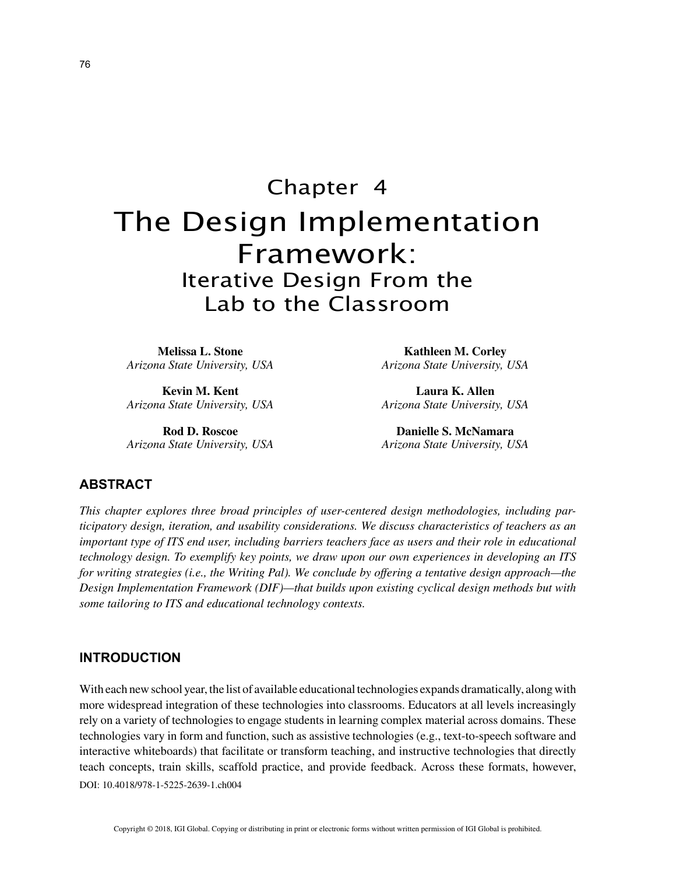# Chapter 4 The Design Implementation Framework: Iterative Design From the Lab to the Classroom

**Melissa L. Stone** *Arizona State University, USA*

**Kevin M. Kent** *Arizona State University, USA*

**Rod D. Roscoe** *Arizona State University, USA*

**Kathleen M. Corley** *Arizona State University, USA*

**Laura K. Allen** *Arizona State University, USA*

**Danielle S. McNamara** *Arizona State University, USA*

## **ABSTRACT**

*This chapter explores three broad principles of user-centered design methodologies, including participatory design, iteration, and usability considerations. We discuss characteristics of teachers as an important type of ITS end user, including barriers teachers face as users and their role in educational technology design. To exemplify key points, we draw upon our own experiences in developing an ITS for writing strategies (i.e., the Writing Pal). We conclude by offering a tentative design approach—the Design Implementation Framework (DIF)—that builds upon existing cyclical design methods but with some tailoring to ITS and educational technology contexts.*

## **INTRODUCTION**

DOI: 10.4018/978-1-5225-2639-1.ch004 With each new school year, the list of available educational technologies expands dramatically, along with more widespread integration of these technologies into classrooms. Educators at all levels increasingly rely on a variety of technologies to engage students in learning complex material across domains. These technologies vary in form and function, such as assistive technologies (e.g., text-to-speech software and interactive whiteboards) that facilitate or transform teaching, and instructive technologies that directly teach concepts, train skills, scaffold practice, and provide feedback. Across these formats, however,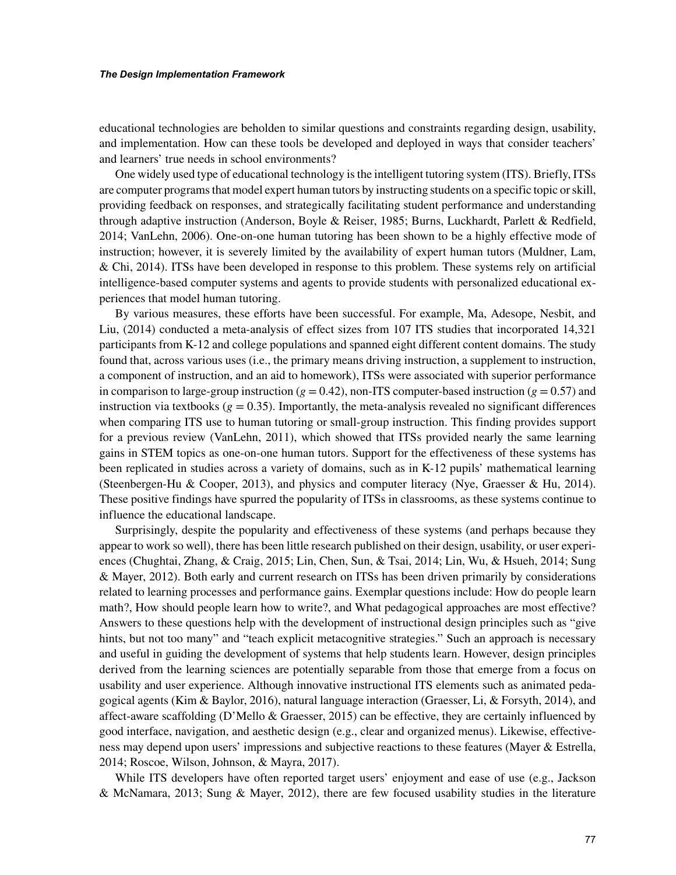educational technologies are beholden to similar questions and constraints regarding design, usability, and implementation. How can these tools be developed and deployed in ways that consider teachers' and learners' true needs in school environments?

One widely used type of educational technology is the intelligent tutoring system (ITS). Briefly, ITSs are computer programs that model expert human tutors by instructing students on a specific topic or skill, providing feedback on responses, and strategically facilitating student performance and understanding through adaptive instruction (Anderson, Boyle & Reiser, 1985; Burns, Luckhardt, Parlett & Redfield, 2014; VanLehn, 2006). One-on-one human tutoring has been shown to be a highly effective mode of instruction; however, it is severely limited by the availability of expert human tutors (Muldner, Lam, & Chi, 2014). ITSs have been developed in response to this problem. These systems rely on artificial intelligence-based computer systems and agents to provide students with personalized educational experiences that model human tutoring.

By various measures, these efforts have been successful. For example, Ma, Adesope, Nesbit, and Liu, (2014) conducted a meta-analysis of effect sizes from 107 ITS studies that incorporated 14,321 participants from K-12 and college populations and spanned eight different content domains. The study found that, across various uses (i.e., the primary means driving instruction, a supplement to instruction, a component of instruction, and an aid to homework), ITSs were associated with superior performance in comparison to large-group instruction ( $g = 0.42$ ), non-ITS computer-based instruction ( $g = 0.57$ ) and instruction via textbooks ( $g = 0.35$ ). Importantly, the meta-analysis revealed no significant differences when comparing ITS use to human tutoring or small-group instruction. This finding provides support for a previous review (VanLehn, 2011), which showed that ITSs provided nearly the same learning gains in STEM topics as one-on-one human tutors. Support for the effectiveness of these systems has been replicated in studies across a variety of domains, such as in K-12 pupils' mathematical learning (Steenbergen-Hu & Cooper, 2013), and physics and computer literacy (Nye, Graesser & Hu, 2014). These positive findings have spurred the popularity of ITSs in classrooms, as these systems continue to influence the educational landscape.

Surprisingly, despite the popularity and effectiveness of these systems (and perhaps because they appear to work so well), there has been little research published on their design, usability, or user experiences (Chughtai, Zhang, & Craig, 2015; Lin, Chen, Sun, & Tsai, 2014; Lin, Wu, & Hsueh, 2014; Sung & Mayer, 2012). Both early and current research on ITSs has been driven primarily by considerations related to learning processes and performance gains. Exemplar questions include: How do people learn math?, How should people learn how to write?, and What pedagogical approaches are most effective? Answers to these questions help with the development of instructional design principles such as "give hints, but not too many" and "teach explicit metacognitive strategies." Such an approach is necessary and useful in guiding the development of systems that help students learn. However, design principles derived from the learning sciences are potentially separable from those that emerge from a focus on usability and user experience. Although innovative instructional ITS elements such as animated pedagogical agents (Kim & Baylor, 2016), natural language interaction (Graesser, Li, & Forsyth, 2014), and affect-aware scaffolding (D'Mello & Graesser, 2015) can be effective, they are certainly influenced by good interface, navigation, and aesthetic design (e.g., clear and organized menus). Likewise, effectiveness may depend upon users' impressions and subjective reactions to these features (Mayer & Estrella, 2014; Roscoe, Wilson, Johnson, & Mayra, 2017).

While ITS developers have often reported target users' enjoyment and ease of use (e.g., Jackson & McNamara, 2013; Sung & Mayer, 2012), there are few focused usability studies in the literature